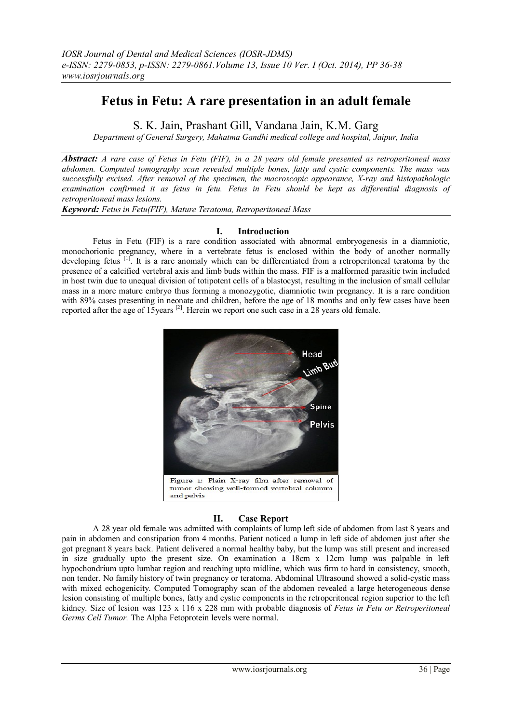# **Fetus in Fetu: A rare presentation in an adult female**

S. K. Jain, Prashant Gill, Vandana Jain, K.M. Garg

*Department of General Surgery, Mahatma Gandhi medical college and hospital, Jaipur, India*

*Abstract: A rare case of Fetus in Fetu (FIF), in a 28 years old female presented as retroperitoneal mass abdomen. Computed tomography scan revealed multiple bones, fatty and cystic components. The mass was successfully excised. After removal of the specimen, the macroscopic appearance, X-ray and histopathologic examination confirmed it as fetus in fetu. Fetus in Fetu should be kept as differential diagnosis of retroperitoneal mass lesions.*

*Keyword: Fetus in Fetu(FIF), Mature Teratoma, Retroperitoneal Mass* 

# **I. Introduction**

Fetus in Fetu (FIF) is a rare condition associated with abnormal embryogenesis in a diamniotic, monochorionic pregnancy, where in a vertebrate fetus is enclosed within the body of another normally developing fetus <sup>[1]</sup>. It is a rare anomaly which can be differentiated from a retroperitoneal teratoma by the presence of a calcified vertebral axis and limb buds within the mass. FIF is a malformed parasitic twin included in host twin due to unequal division of totipotent cells of a blastocyst, resulting in the inclusion of small cellular mass in a more mature embryo thus forming a monozygotic, diamniotic twin pregnancy. It is a rare condition with 89% cases presenting in neonate and children, before the age of 18 months and only few cases have been reported after the age of 15 years  $\left[2\right]$ . Herein we report one such case in a 28 years old female.



# **II. Case Report**

A 28 year old female was admitted with complaints of lump left side of abdomen from last 8 years and pain in abdomen and constipation from 4 months. Patient noticed a lump in left side of abdomen just after she got pregnant 8 years back. Patient delivered a normal healthy baby, but the lump was still present and increased in size gradually upto the present size. On examination a 18cm x 12cm lump was palpable in left hypochondrium upto lumbar region and reaching upto midline, which was firm to hard in consistency, smooth, non tender. No family history of twin pregnancy or teratoma. Abdominal Ultrasound showed a solid-cystic mass with mixed echogenicity. Computed Tomography scan of the abdomen revealed a large heterogeneous dense lesion consisting of multiple bones, fatty and cystic components in the retroperitoneal region superior to the left kidney. Size of lesion was 123 x 116 x 228 mm with probable diagnosis of *Fetus in Fetu or Retroperitoneal Germs Cell Tumor.* The Alpha Fetoprotein levels were normal.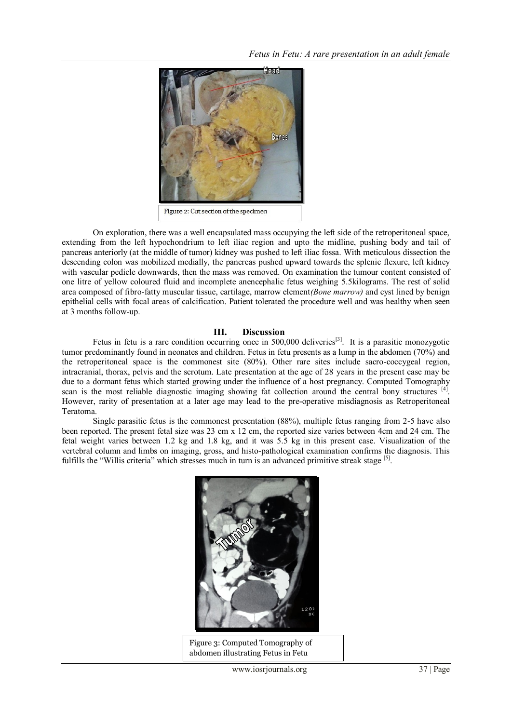

On exploration, there was a well encapsulated mass occupying the left side of the retroperitoneal space, extending from the left hypochondrium to left iliac region and upto the midline, pushing body and tail of pancreas anteriorly (at the middle of tumor) kidney was pushed to left iliac fossa. With meticulous dissection the descending colon was mobilized medially, the pancreas pushed upward towards the splenic flexure, left kidney with vascular pedicle downwards, then the mass was removed. On examination the tumour content consisted of one litre of yellow coloured fluid and incomplete anencephalic fetus weighing 5.5kilograms. The rest of solid area composed of fibro-fatty muscular tissue, cartilage, marrow element*(Bone marrow)* and cyst lined by benign epithelial cells with focal areas of calcification. Patient tolerated the procedure well and was healthy when seen at 3 months follow-up.

### **III. Discussion**

Fetus in fetu is a rare condition occurring once in 500,000 deliveries<sup>[3]</sup>. It is a parasitic monozygotic tumor predominantly found in neonates and children. Fetus in fetu presents as a lump in the abdomen (70%) and the retroperitoneal space is the commonest site (80%). Other rare sites include sacro-coccygeal region, intracranial, thorax, pelvis and the scrotum. Late presentation at the age of 28 years in the present case may be due to a dormant fetus which started growing under the influence of a host pregnancy. Computed Tomography scan is the most reliable diagnostic imaging showing fat collection around the central bony structures [4]. However, rarity of presentation at a later age may lead to the pre-operative misdiagnosis as Retroperitoneal Teratoma.

Single parasitic fetus is the commonest presentation (88%), multiple fetus ranging from 2-5 have also been reported. The present fetal size was 23 cm x 12 cm, the reported size varies between 4cm and 24 cm. The fetal weight varies between 1.2 kg and 1.8 kg, and it was 5.5 kg in this present case. Visualization of the vertebral column and limbs on imaging, gross, and histo-pathological examination confirms the diagnosis. This fulfills the "Willis criteria" which stresses much in turn is an advanced primitive streak stage [5].



Figure 3: Computed Tomography of abdomen illustrating Fetus in Fetu